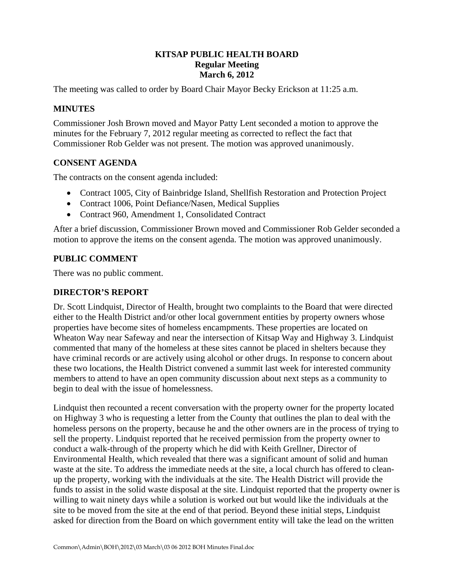# **KITSAP PUBLIC HEALTH BOARD Regular Meeting March 6, 2012**

The meeting was called to order by Board Chair Mayor Becky Erickson at 11:25 a.m.

# **MINUTES**

Commissioner Josh Brown moved and Mayor Patty Lent seconded a motion to approve the minutes for the February 7, 2012 regular meeting as corrected to reflect the fact that Commissioner Rob Gelder was not present. The motion was approved unanimously.

### **CONSENT AGENDA**

The contracts on the consent agenda included:

- Contract 1005, City of Bainbridge Island, Shellfish Restoration and Protection Project
- Contract 1006, Point Defiance/Nasen, Medical Supplies
- Contract 960, Amendment 1, Consolidated Contract

After a brief discussion, Commissioner Brown moved and Commissioner Rob Gelder seconded a motion to approve the items on the consent agenda. The motion was approved unanimously.

### **PUBLIC COMMENT**

There was no public comment.

#### **DIRECTOR'S REPORT**

Dr. Scott Lindquist, Director of Health, brought two complaints to the Board that were directed either to the Health District and/or other local government entities by property owners whose properties have become sites of homeless encampments. These properties are located on Wheaton Way near Safeway and near the intersection of Kitsap Way and Highway 3. Lindquist commented that many of the homeless at these sites cannot be placed in shelters because they have criminal records or are actively using alcohol or other drugs. In response to concern about these two locations, the Health District convened a summit last week for interested community members to attend to have an open community discussion about next steps as a community to begin to deal with the issue of homelessness.

Lindquist then recounted a recent conversation with the property owner for the property located on Highway 3 who is requesting a letter from the County that outlines the plan to deal with the homeless persons on the property, because he and the other owners are in the process of trying to sell the property. Lindquist reported that he received permission from the property owner to conduct a walk-through of the property which he did with Keith Grellner, Director of Environmental Health, which revealed that there was a significant amount of solid and human waste at the site. To address the immediate needs at the site, a local church has offered to cleanup the property, working with the individuals at the site. The Health District will provide the funds to assist in the solid waste disposal at the site. Lindquist reported that the property owner is willing to wait ninety days while a solution is worked out but would like the individuals at the site to be moved from the site at the end of that period. Beyond these initial steps, Lindquist asked for direction from the Board on which government entity will take the lead on the written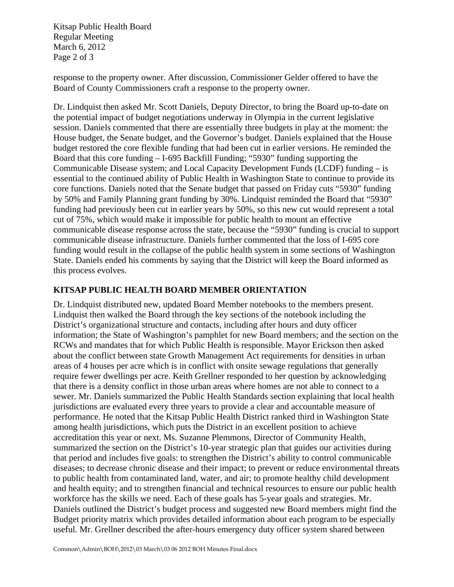Kitsap Public Health Board Regular Meeting March 6, 2012 Page 2 of 3

response to the property owner. After discussion, Commissioner Gelder offered to have the Board of County Commissioners craft a response to the property owner.

Dr. Lindquist then asked Mr. Scott Daniels, Deputy Director, to bring the Board up-to-date on the potential impact of budget negotiations underway in Olympia in the current legislative session. Daniels commented that there are essentially three budgets in play at the moment: the House budget, the Senate budget, and the Governor's budget. Daniels explained that the House budget restored the core flexible funding that had been cut in earlier versions. He reminded the Board that this core funding – I-695 Backfill Funding; "5930" funding supporting the Communicable Disease system; and Local Capacity Development Funds (LCDF) funding – is essential to the continued ability of Public Health in Washington State to continue to provide its core functions. Daniels noted that the Senate budget that passed on Friday cuts "5930" funding by 50% and Family Planning grant funding by 30%. Lindquist reminded the Board that "5930" funding had previously been cut in earlier years by 50%, so this new cut would represent a total cut of 75%, which would make it impossible for public health to mount an effective communicable disease response across the state, because the "5930" funding is crucial to support communicable disease infrastructure. Daniels further commented that the loss of I-695 core funding would result in the collapse of the public health system in some sections of Washington State. Daniels ended his comments by saying that the District will keep the Board informed as this process evolves.

# **KITSAP PUBLIC HEALTH BOARD MEMBER ORIENTATION**

Dr. Lindquist distributed new, updated Board Member notebooks to the members present. Lindquist then walked the Board through the key sections of the notebook including the District's organizational structure and contacts, including after hours and duty officer information; the State of Washington's pamphlet for new Board members; and the section on the RCWs and mandates that for which Public Health is responsible. Mayor Erickson then asked about the conflict between state Growth Management Act requirements for densities in urban areas of 4 houses per acre which is in conflict with onsite sewage regulations that generally require fewer dwellings per acre. Keith Grellner responded to her question by acknowledging that there is a density conflict in those urban areas where homes are not able to connect to a sewer. Mr. Daniels summarized the Public Health Standards section explaining that local health jurisdictions are evaluated every three years to provide a clear and accountable measure of performance. He noted that the Kitsap Public Health District ranked third in Washington State among health jurisdictions, which puts the District in an excellent position to achieve accreditation this year or next. Ms. Suzanne Plemmons, Director of Community Health, summarized the section on the District's 10-year strategic plan that guides our activities during that period and includes five goals: to strengthen the District's ability to control communicable diseases; to decrease chronic disease and their impact; to prevent or reduce environmental threats to public health from contaminated land, water, and air; to promote healthy child development and health equity; and to strengthen financial and technical resources to ensure our public health workforce has the skills we need. Each of these goals has 5-year goals and strategies. Mr. Daniels outlined the District's budget process and suggested new Board members might find the Budget priority matrix which provides detailed information about each program to be especially useful. Mr. Grellner described the after-hours emergency duty officer system shared between